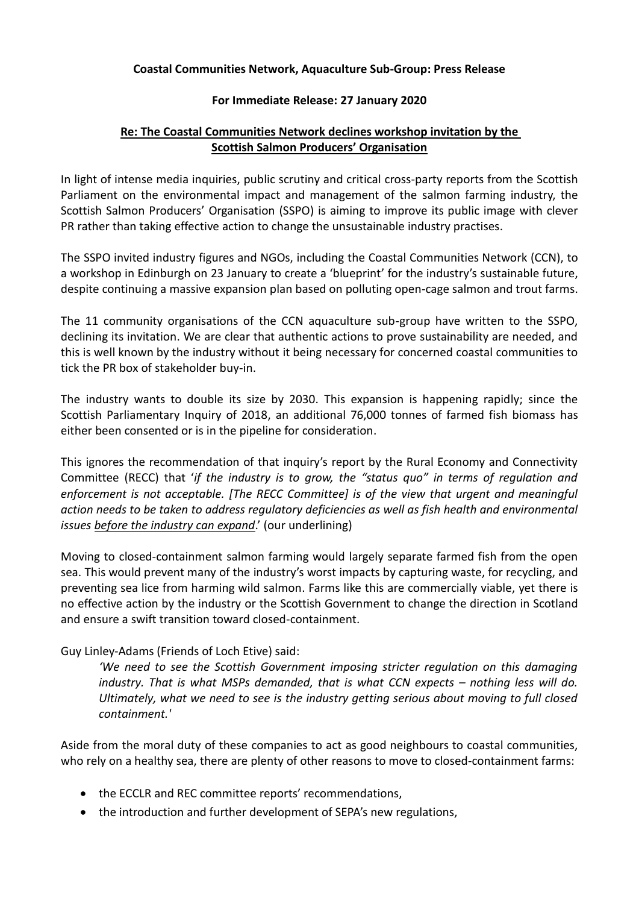#### **Coastal Communities Network, Aquaculture Sub-Group: Press Release**

#### **For Immediate Release: 27 January 2020**

## **Re: The Coastal Communities Network declines workshop invitation by the Scottish Salmon Producers' Organisation**

In light of intense media inquiries, public scrutiny and critical cross-party reports from the Scottish Parliament on the environmental impact and management of the salmon farming industry, the Scottish Salmon Producers' Organisation (SSPO) is aiming to improve its public image with clever PR rather than taking effective action to change the unsustainable industry practises.

The SSPO invited industry figures and NGOs, including the Coastal Communities Network (CCN), to a workshop in Edinburgh on 23 January to create a 'blueprint' for the industry's sustainable future, despite continuing a massive expansion plan based on polluting open-cage salmon and trout farms.

The 11 community organisations of the CCN aquaculture sub-group have written to the SSPO, declining its invitation. We are clear that authentic actions to prove sustainability are needed, and this is well known by the industry without it being necessary for concerned coastal communities to tick the PR box of stakeholder buy-in.

The industry wants to double its size by 2030. This expansion is happening rapidly; since the Scottish Parliamentary Inquiry of 2018, an additional 76,000 tonnes of farmed fish biomass has either been consented or is in the pipeline for consideration.

This ignores the recommendation of that inquiry's report by the Rural Economy and Connectivity Committee (RECC) that '*if the industry is to grow, the "status quo" in terms of regulation and enforcement is not acceptable. [The RECC Committee] is of the view that urgent and meaningful action needs to be taken to address regulatory deficiencies as well as fish health and environmental issues before the industry can expand*.' (our underlining)

Moving to closed-containment salmon farming would largely separate farmed fish from the open sea. This would prevent many of the industry's worst impacts by capturing waste, for recycling, and preventing sea lice from harming wild salmon. Farms like this are commercially viable, yet there is no effective action by the industry or the Scottish Government to change the direction in Scotland and ensure a swift transition toward closed-containment.

## Guy Linley-Adams (Friends of Loch Etive) said:

*'We need to see the Scottish Government imposing stricter regulation on this damaging industry. That is what MSPs demanded, that is what CCN expects – nothing less will do. Ultimately, what we need to see is the industry getting serious about moving to full closed containment.'*

Aside from the moral duty of these companies to act as good neighbours to coastal communities, who rely on a healthy sea, there are plenty of other reasons to move to closed-containment farms:

- the ECCLR and REC committee reports' recommendations,
- the introduction and further development of SEPA's new regulations,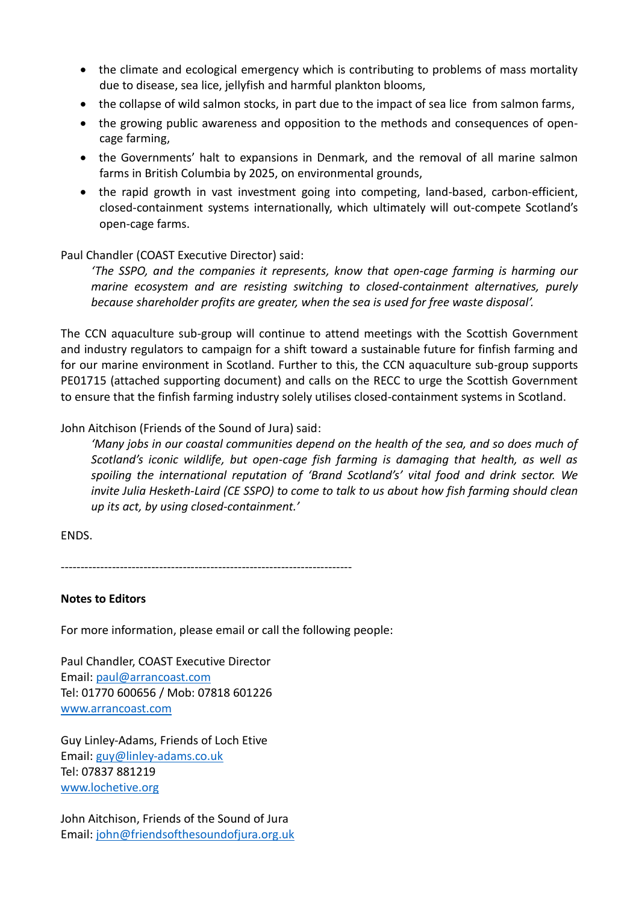- the climate and ecological emergency which is contributing to problems of mass mortality due to disease, sea lice, jellyfish and harmful plankton blooms,
- the collapse of wild salmon stocks, in part due to the impact of sea lice from salmon farms,
- the growing public awareness and opposition to the methods and consequences of opencage farming,
- the Governments' halt to expansions in Denmark, and the removal of all marine salmon farms in British Columbia by 2025, on environmental grounds,
- the rapid growth in vast investment going into competing, land-based, carbon-efficient, closed-containment systems internationally, which ultimately will out-compete Scotland's open-cage farms.

## Paul Chandler (COAST Executive Director) said:

*'The SSPO, and the companies it represents, know that open-cage farming is harming our marine ecosystem and are resisting switching to closed-containment alternatives, purely because shareholder profits are greater, when the sea is used for free waste disposal'.*

The CCN aquaculture sub-group will continue to attend meetings with the Scottish Government and industry regulators to campaign for a shift toward a sustainable future for finfish farming and for our marine environment in Scotland. Further to this, the CCN aquaculture sub-group supports PE01715 (attached supporting document) and calls on the RECC to urge the Scottish Government to ensure that the finfish farming industry solely utilises closed-containment systems in Scotland.

# John Aitchison (Friends of the Sound of Jura) said:

*'Many jobs in our coastal communities depend on the health of the sea, and so does much of Scotland's iconic wildlife, but open-cage fish farming is damaging that health, as well as spoiling the international reputation of 'Brand Scotland's' vital food and drink sector. We invite Julia Hesketh-Laird (CE SSPO) to come to talk to us about how fish farming should clean up its act, by using closed-containment.'*

## ENDS.

--------------------------------------------------------------------------

## **Notes to Editors**

For more information, please email or call the following people:

Paul Chandler, COAST Executive Director Email: [paul@arrancoast.com](mailto:paul@arrancoast.com) Tel: 01770 600656 / Mob: 07818 601226 [www.arrancoast.com](http://www.arrancoast.com/)

Guy Linley-Adams, Friends of Loch Etive Email: [guy@linley-adams.co.uk](mailto:guy@linley-adams.co.uk) Tel: 07837 881219 [www.lochetive.org](http://www.lochetive.org/)

John Aitchison, Friends of the Sound of Jura Email: [john@friendsofthesoundofjura.org.uk](mailto:john@friendsofthesoundofjura.org.uk)